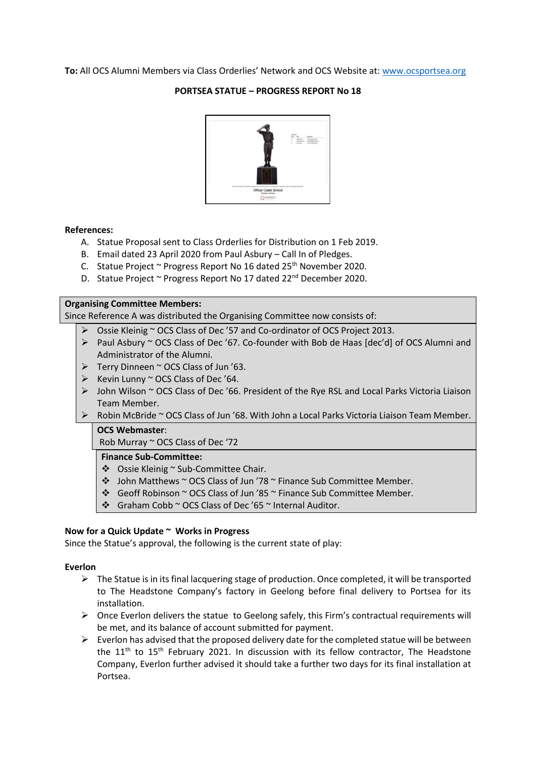**To:** All OCS Alumni Members via Class Orderlies' Network and OCS Website at: [www.ocsportsea.org](http://www.ocsportsea.org/)

### **PORTSEA STATUE – PROGRESS REPORT No 18**



#### **References:**

- A. Statue Proposal sent to Class Orderlies for Distribution on 1 Feb 2019.
- B. Email dated 23 April 2020 from Paul Asbury Call In of Pledges.
- C. Statue Project ~ Progress Report No 16 dated 25<sup>th</sup> November 2020.
- D. Statue Project ~ Progress Report No 17 dated 22<sup>nd</sup> December 2020.

# **Organising Committee Members:**

Since Reference A was distributed the Organising Committee now consists of:

- ➢ Ossie Kleinig ~ OCS Class of Dec '57 and Co-ordinator of OCS Project 2013.
- $\triangleright$  Paul Asbury ~ OCS Class of Dec '67. Co-founder with Bob de Haas [dec'd] of OCS Alumni and Administrator of the Alumni.
- $\triangleright$  Terry Dinneen ~ OCS Class of Jun '63.
- $\triangleright$  Kevin Lunny ~ OCS Class of Dec '64.
- ➢ John Wilson ~ OCS Class of Dec '66. President of the Rye RSL and Local Parks Victoria Liaison Team Member.
- ➢ Robin McBride ~ OCS Class of Jun '68. With John a Local Parks Victoria Liaison Team Member.

#### **OCS Webmaster**:

Rob Murray ~ OCS Class of Dec '72

#### **Finance Sub-Committee:**

- ❖ Ossie Kleinig ~ Sub-Committee Chair.
- ❖ John Matthews ~ OCS Class of Jun '78 ~ Finance Sub Committee Member.
- ❖ Geoff Robinson ~ OCS Class of Jun '85 ~ Finance Sub Committee Member.
- ❖ Graham Cobb ~ OCS Class of Dec '65 ~ Internal Auditor.

#### **Now for a Quick Update ~ Works in Progress**

Since the Statue's approval, the following is the current state of play:

#### **Everlon**

- $\triangleright$  The Statue is in its final lacquering stage of production. Once completed, it will be transported to The Headstone Company's factory in Geelong before final delivery to Portsea for its installation.
- $\triangleright$  Once Everlon delivers the statue to Geelong safely, this Firm's contractual requirements will be met, and its balance of account submitted for payment.
- $\triangleright$  Everlon has advised that the proposed delivery date for the completed statue will be between the  $11<sup>th</sup>$  to  $15<sup>th</sup>$  February 2021. In discussion with its fellow contractor, The Headstone Company, Everlon further advised it should take a further two days for its final installation at Portsea.